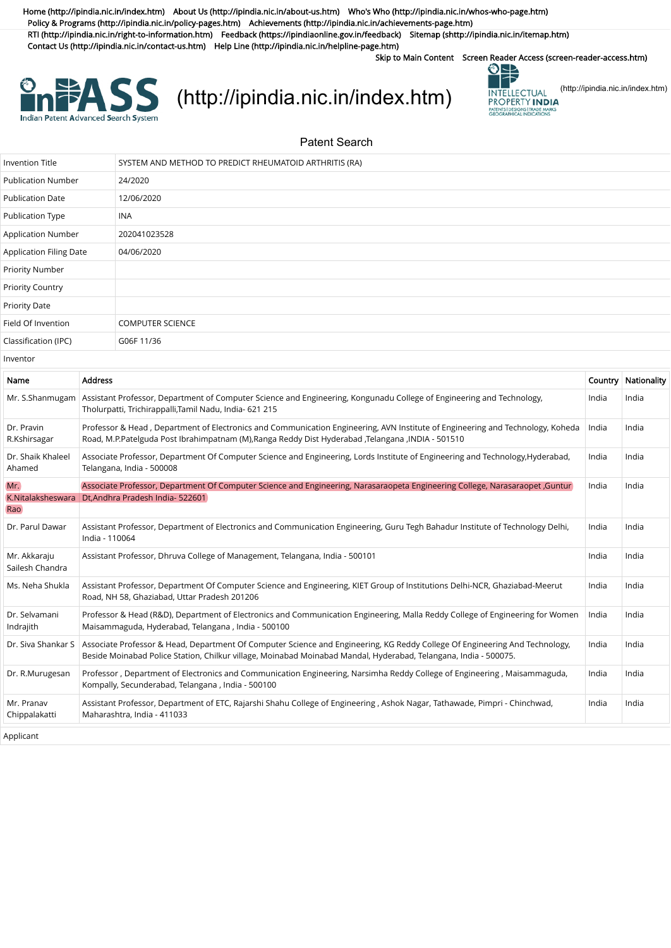[Home \(http://ipindia.nic.in/index.htm\)](http://ipindia.nic.in/index.htm) [About Us \(http://ipindia.nic.in/about-us.htm\)](http://ipindia.nic.in/about-us.htm) [Who's Who \(http://ipindia.nic.in/whos-who-page.htm\)](http://ipindia.nic.in/whos-who-page.htm) [Policy & Programs \(http://ipindia.nic.in/policy-pages.htm\)](http://ipindia.nic.in/policy-pages.htm) [Achievements \(http://ipindia.nic.in/achievements-page.htm\)](http://ipindia.nic.in/achievements-page.htm) [RTI \(http://ipindia.nic.in/right-to-information.htm\)](http://ipindia.nic.in/right-to-information.htm) [Feedback \(https://ipindiaonline.gov.in/feedback\)](https://ipindiaonline.gov.in/feedback) [Sitemap \(shttp://ipindia.nic.in/itemap.htm\)](shttp://ipindia.nic.in/itemap.htm) [Contact Us \(http://ipindia.nic.in/contact-us.htm\)](http://ipindia.nic.in/contact-us.htm) [Help Line \(http://ipindia.nic.in/helpline-page.htm\)](http://ipindia.nic.in/helpline-page.htm)

Skip to Main Content [Screen Reader Access \(screen-reader-access.htm\)](https://ipindiaservices.gov.in/PublicSearch/PublicationSearch/screen-reader-access.htm)



## **EASS** [\(http://ipindia.nic.in/index.htm\)](http://ipindia.nic.in/index.htm) **EXASS** [\(http://ipindia.nic.in/index.htm\)](http://ipindia.nic.in/index.htm)



## Patent Search

| <b>Invention Title</b>          |                                                                                                                                                                                                                                    | SYSTEM AND METHOD TO PREDICT RHEUMATOID ARTHRITIS (RA)                                                                                                                                                                                          |       |                     |  |  |
|---------------------------------|------------------------------------------------------------------------------------------------------------------------------------------------------------------------------------------------------------------------------------|-------------------------------------------------------------------------------------------------------------------------------------------------------------------------------------------------------------------------------------------------|-------|---------------------|--|--|
| <b>Publication Number</b>       |                                                                                                                                                                                                                                    | 24/2020                                                                                                                                                                                                                                         |       |                     |  |  |
| <b>Publication Date</b>         |                                                                                                                                                                                                                                    | 12/06/2020                                                                                                                                                                                                                                      |       |                     |  |  |
| <b>Publication Type</b>         |                                                                                                                                                                                                                                    | <b>INA</b>                                                                                                                                                                                                                                      |       |                     |  |  |
| Application Number              |                                                                                                                                                                                                                                    | 202041023528                                                                                                                                                                                                                                    |       |                     |  |  |
| Application Filing Date         |                                                                                                                                                                                                                                    | 04/06/2020                                                                                                                                                                                                                                      |       |                     |  |  |
| Priority Number                 |                                                                                                                                                                                                                                    |                                                                                                                                                                                                                                                 |       |                     |  |  |
| <b>Priority Country</b>         |                                                                                                                                                                                                                                    |                                                                                                                                                                                                                                                 |       |                     |  |  |
| <b>Priority Date</b>            |                                                                                                                                                                                                                                    |                                                                                                                                                                                                                                                 |       |                     |  |  |
| Field Of Invention              |                                                                                                                                                                                                                                    | <b>COMPUTER SCIENCE</b>                                                                                                                                                                                                                         |       |                     |  |  |
| Classification (IPC)            |                                                                                                                                                                                                                                    | G06F 11/36                                                                                                                                                                                                                                      |       |                     |  |  |
| Inventor                        |                                                                                                                                                                                                                                    |                                                                                                                                                                                                                                                 |       |                     |  |  |
| Name                            | <b>Address</b>                                                                                                                                                                                                                     |                                                                                                                                                                                                                                                 |       | Country Nationality |  |  |
| Mr. S.Shanmugam                 |                                                                                                                                                                                                                                    | Assistant Professor, Department of Computer Science and Engineering, Kongunadu College of Engineering and Technology,<br>Tholurpatti, Trichirappalli, Tamil Nadu, India- 621 215                                                                | India | India               |  |  |
| Dr. Pravin<br>R.Kshirsagar      | Professor & Head, Department of Electronics and Communication Engineering, AVN Institute of Engineering and Technology, Koheda<br>Road, M.P.Patelguda Post Ibrahimpatnam (M),Ranga Reddy Dist Hyderabad ,Telangana ,INDIA - 501510 |                                                                                                                                                                                                                                                 | India | India               |  |  |
| Dr. Shaik Khaleel<br>Ahamed     |                                                                                                                                                                                                                                    | Associate Professor, Department Of Computer Science and Engineering, Lords Institute of Engineering and Technology,Hyderabad,<br>Telangana, India - 500008                                                                                      |       |                     |  |  |
| Mr.<br>K.Nitalaksheswara<br>Rao |                                                                                                                                                                                                                                    | Associate Professor, Department Of Computer Science and Engineering, Narasaraopeta Engineering College, Narasaraopet ,Guntur<br>India<br>India<br>Dt, Andhra Pradesh India- 522601                                                              |       |                     |  |  |
| Dr. Parul Dawar                 |                                                                                                                                                                                                                                    | Assistant Professor, Department of Electronics and Communication Engineering, Guru Tegh Bahadur Institute of Technology Delhi,<br>India - 110064                                                                                                |       | India               |  |  |
| Mr. Akkaraju<br>Sailesh Chandra | Assistant Professor, Dhruva College of Management, Telangana, India - 500101                                                                                                                                                       |                                                                                                                                                                                                                                                 | India | India               |  |  |
| Ms. Neha Shukla                 | Assistant Professor, Department Of Computer Science and Engineering, KIET Group of Institutions Delhi-NCR, Ghaziabad-Meerut<br>Road, NH 58, Ghaziabad, Uttar Pradesh 201206                                                        |                                                                                                                                                                                                                                                 | India | India               |  |  |
| Dr. Selvamani<br>Indrajith      |                                                                                                                                                                                                                                    | Professor & Head (R&D), Department of Electronics and Communication Engineering, Malla Reddy College of Engineering for Women<br>Maisammaguda, Hyderabad, Telangana, India - 500100                                                             | India | India               |  |  |
| Dr. Siva Shankar S              |                                                                                                                                                                                                                                    | Associate Professor & Head, Department Of Computer Science and Engineering, KG Reddy College Of Engineering And Technology,<br>Beside Moinabad Police Station, Chilkur village, Moinabad Moinabad Mandal, Hyderabad, Telangana, India - 500075. | India | India               |  |  |
| Dr. R.Murugesan                 |                                                                                                                                                                                                                                    | Professor, Department of Electronics and Communication Engineering, Narsimha Reddy College of Engineering, Maisammaguda,<br>Kompally, Secunderabad, Telangana, India - 500100                                                                   | India | India               |  |  |
| Mr. Pranav<br>Chippalakatti     | Assistant Professor, Department of ETC, Rajarshi Shahu College of Engineering, Ashok Nagar, Tathawade, Pimpri - Chinchwad,<br>Maharashtra, India - 411033                                                                          |                                                                                                                                                                                                                                                 | India | India               |  |  |
| Applicant                       |                                                                                                                                                                                                                                    |                                                                                                                                                                                                                                                 |       |                     |  |  |